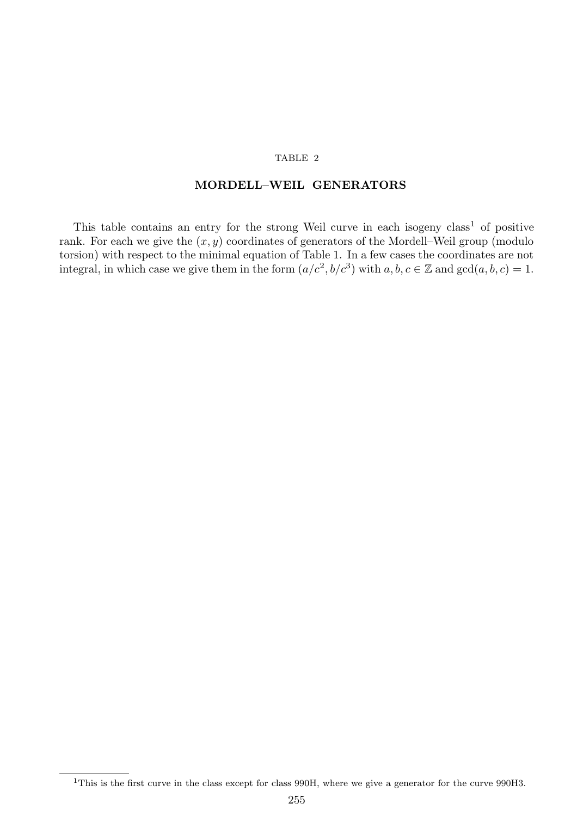## TABLE 2

## MORDELL–WEIL GENERATORS

This table contains an entry for the strong Weil curve in each isogeny  $class<sup>1</sup>$  of positive rank. For each we give the  $(x, y)$  coordinates of generators of the Mordell–Weil group (modulo torsion) with respect to the minimal equation of Table 1. In a few cases the coordinates are not integral, in which case we give them in the form  $(a/c^2, b/c^3)$  with  $a, b, c \in \mathbb{Z}$  and  $gcd(a, b, c) = 1$ .

<sup>&</sup>lt;sup>1</sup>This is the first curve in the class except for class 990H, where we give a generator for the curve 990H3.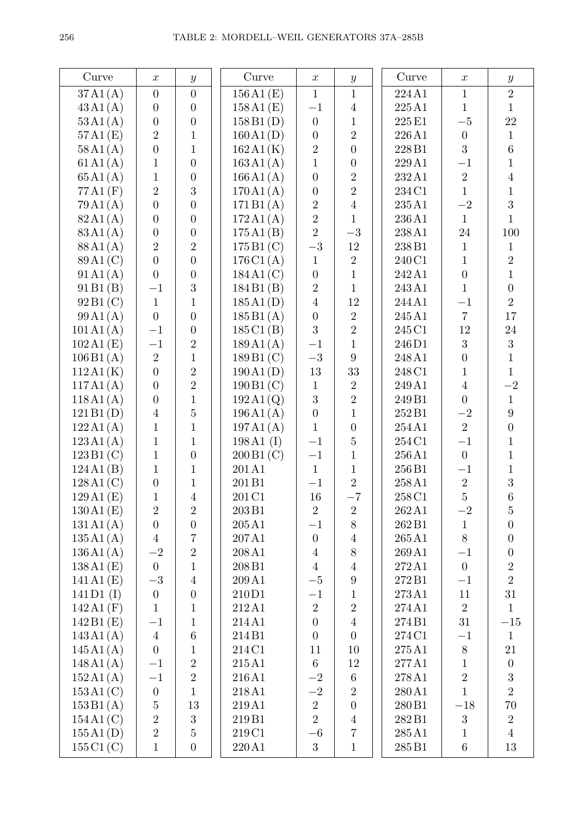| Curve                 | $\boldsymbol{x}$ | $\boldsymbol{y}$ | Curve                   | $\boldsymbol{x}$ | $\boldsymbol{y}$ | Curve              | $\boldsymbol{x}$ | $\boldsymbol{y}$ |
|-----------------------|------------------|------------------|-------------------------|------------------|------------------|--------------------|------------------|------------------|
| 37A1(A)               | $\overline{0}$   | $\overline{0}$   | 156A1(E)                | $\mathbf{1}$     | $\mathbf{1}$     | 224A1              | $\mathbf{1}$     | $\overline{2}$   |
| 43A1(A)               | $\boldsymbol{0}$ | $\boldsymbol{0}$ | 158A1(E)                | $-1$             | $\overline{4}$   | 225A1              | $\mathbf{1}$     | $\mathbf{1}$     |
| 53A1(A)               | $\boldsymbol{0}$ | $\overline{0}$   | 158B1(D)                | $\boldsymbol{0}$ | $\mathbf{1}$     | 225 E1             | $-5\,$           | 22               |
| 57A1(E)               | $\overline{2}$   | $\mathbf{1}$     | 160A1(D)                | $\overline{0}$   | $\overline{2}$   | 226A1              | $\theta$         | $\mathbf{1}$     |
|                       | $\overline{0}$   | $\mathbf{1}$     |                         | $\boldsymbol{2}$ | $\overline{0}$   | 228B1              | 3                | 6                |
| 58A1(A)               | $\mathbf{1}$     | $\overline{0}$   | 162A1(K)                |                  |                  | 229A1              |                  | $\mathbf{1}$     |
| 61A1(A)               |                  |                  | 163A1(A)                | $\mathbf{1}$     | $\boldsymbol{0}$ |                    | $-1$             |                  |
| 65A1(A)               | $\mathbf{1}$     | $\boldsymbol{0}$ | 166A1(A)                | $\boldsymbol{0}$ | $\overline{2}$   | 232A1              | $\overline{2}$   | $\overline{4}$   |
| 77A1(F)               | $\overline{2}$   | 3                | 170A1(A)                | $\boldsymbol{0}$ | $\overline{2}$   | 234 C1             | $\mathbf{1}$     | $\mathbf{1}$     |
| 79A1(A)               | $\overline{0}$   | $\overline{0}$   | 171B1(A)                | $\overline{2}$   | $\overline{4}$   | 235A1              | $-2$             | 3                |
| 82A1(A)               | $\overline{0}$   | $\overline{0}$   | 172A1(A)                | $\overline{2}$   | $\mathbf{1}$     | 236A1              | $\mathbf{1}$     | $\mathbf{1}$     |
| 83A1(A)               | $\boldsymbol{0}$ | $\boldsymbol{0}$ | 175A1(B)                | $\overline{2}$   | $-3$             | 238A1              | 24               | 100              |
| 88A1(A)               | $\overline{2}$   | $\overline{2}$   | 175B1(C)                | $-3\,$           | 12               | 238B1              | $\mathbf{1}$     | $\mathbf{1}$     |
| 89 A <sub>1</sub> (C) | $\overline{0}$   | $\overline{0}$   | 176C1(A)                | $\mathbf{1}$     | $\overline{2}$   | 240 C1             | $\mathbf{1}$     | $\overline{2}$   |
| 91A1(A)               | $\overline{0}$   | $\boldsymbol{0}$ | 184A1(C)                | $\boldsymbol{0}$ | $\mathbf{1}$     | 242 A1             | $\boldsymbol{0}$ | $\mathbf{1}$     |
| 91B1(B)               | $-1$             | 3                | 184B1(B)                | $\overline{2}$   | $\mathbf{1}$     | 243A1              | $\mathbf{1}$     | $\overline{0}$   |
| 92B1(C)               | $\mathbf{1}$     | $\mathbf{1}$     | 185A1(D)                | $\overline{4}$   | 12               | 244 A1             | $-1$             | $\overline{2}$   |
| 99A1(A)               | $\overline{0}$   | $\overline{0}$   | 185B1(A)                | $\overline{0}$   | $\boldsymbol{2}$ | 245 A1             | $\overline{7}$   | 17               |
| 101 A1(A)             | $-1$             | $\boldsymbol{0}$ | 185C1(B)                | 3                | $\overline{2}$   | 245 C1             | 12               | $24\,$           |
| 102A1(E)              | $-1$             | $\sqrt{2}$       | 189A1(A)                | $-1$             | $\mathbf{1}$     | 246D1              | 3                | 3                |
| 106B1(A)              | $\overline{2}$   | $\mathbf{1}$     | 189B1(C)                | $-3\,$           | 9                | 248 A1             | $\boldsymbol{0}$ | $\mathbf{1}$     |
| 112A1(K)              | $\overline{0}$   | $\overline{2}$   | 190A1(D)                | 13               | 33               | 248 C1             | $\mathbf{1}$     | $\mathbf{1}$     |
| 117A1(A)              | $\overline{0}$   | $\overline{2}$   | 190B1(C)                | $\mathbf{1}$     | $\overline{2}$   | 249 A1             | $\overline{4}$   | $-2$             |
| 118A1(A)              | $\boldsymbol{0}$ | $\mathbf{1}$     | $192 \text{A}1\text{Q}$ | 3                | $\overline{2}$   | 249 B1             | $\overline{0}$   | $\mathbf{1}$     |
| 121B1(D)              | $\overline{4}$   | $\overline{5}$   | 196A1(A)                | $\boldsymbol{0}$ | $\mathbf{1}$     | 252 B1             | $-2$             | $\overline{9}$   |
| 122A1(A)              | $\mathbf{1}$     | $\mathbf{1}$     | 197A1(A)                | $\mathbf{1}$     | $\boldsymbol{0}$ | 254A1              | $\overline{2}$   | $\overline{0}$   |
| 123A1(A)              | $\mathbf{1}$     | $\mathbf{1}$     | $198A1$ (I)             | $-1$             | $\overline{5}$   | 254 C1             | $-1$             | $\mathbf{1}$     |
| 123B1(C)              | $\mathbf{1}$     | $\overline{0}$   | 200B1(C)                | $-1$             | $\mathbf{1}$     | 256A1              | $\overline{0}$   | $\mathbf{1}$     |
| 124A1(B)              | $\mathbf{1}$     | $\mathbf{1}$     | 201A1                   | $\mathbf{1}$     | $\mathbf{1}$     | 256B1              | $^{-1}$          | $\mathbf{1}$     |
| 128A1(C)              | $\boldsymbol{0}$ | $\mathbf{1}$     | 201B1                   | $-1$             | $\overline{2}$   | 258A1              | $\sqrt{2}$       | 3                |
| 129A1(E)              | $\mathbf{1}$     | $\overline{4}$   | 201 C1                  | 16               | $-7$             | 258 C1             | $\overline{5}$   | $6\phantom{.}6$  |
| 130A1(E)              | $\sqrt{2}$       | $\sqrt{2}$       | 203B1                   | $\sqrt{2}$       | $\overline{2}$   | 262 A1             | $-2$             | $\overline{5}$   |
| 131A1(A)              | $\overline{0}$   | $\boldsymbol{0}$ | 205A1                   | $-1$             | 8                | 262 B1             | $\mathbf{1}$     | $\boldsymbol{0}$ |
| 135A1(A)              | $\overline{4}$   | $\overline{7}$   | 207A1                   | $\boldsymbol{0}$ | $\overline{4}$   | 265A1              | 8                | $\overline{0}$   |
| 136A1(A)              | $-2$             | $\sqrt{2}$       | 208A1                   | $\overline{4}$   | $8\,$            | 269A1              | $-1$             | $\boldsymbol{0}$ |
| 138A1(E)              | $\boldsymbol{0}$ | $\mathbf{1}$     | 208B1                   | $\overline{4}$   | $\overline{4}$   | 272A1              | $\boldsymbol{0}$ | $\sqrt{2}$       |
| 141A1(E)              | $-3\,$           | $\overline{4}$   | 209 A1                  | $-5\,$           | $\boldsymbol{9}$ | 272B1              | $-1$             | $\overline{2}$   |
| $141D1$ (I)           | $\overline{0}$   | $\boldsymbol{0}$ | 210D1                   | $-1$             | $\mathbf{1}$     | 273A1              | 11               | 31               |
| 142A1(F)              | $\mathbf{1}$     | 1                | 212A1                   | $\overline{2}$   | $\overline{2}$   | 274A1              | $\overline{2}$   | $\mathbf{1}$     |
| 142B1(E)              | $-1$             | $\mathbf{1}$     | 214A1                   | $\boldsymbol{0}$ | $\overline{4}$   | 274 B1             | $31\,$           | $-15$            |
| 143A1(A)              | $\overline{4}$   | $\,6$            | 214B1                   | $\boldsymbol{0}$ | $\boldsymbol{0}$ | 274 C1             | $-1$             | $\mathbf{1}$     |
| 145A1(A)              | $\overline{0}$   | $\mathbf{1}$     | 214C1                   | 11               | 10               | 275 A1             | $8\,$            | 21               |
| 148A1(A)              | $-1$             | $\overline{2}$   | 215A1                   | $\,6\,$          | 12               | 277A1              | $\mathbf{1}$     | $\boldsymbol{0}$ |
| 152A1(A)              | $-1\,$           | $\overline{2}$   | 216A1                   | $-2$             | 6                | 278A1              | $\overline{2}$   | $\boldsymbol{3}$ |
| 153A1(C)              | $\boldsymbol{0}$ | $\mathbf{1}$     | 218A1                   | $-2$             | $\overline{2}$   | 280A1              | $\mathbf{1}$     | $\overline{2}$   |
| 153B1(A)              | $\bf 5$          | 13               | 219A1                   | $\overline{2}$   | $\boldsymbol{0}$ | 280 B1             | $-18\,$          | 70               |
| 154A1(C)              | $\sqrt{2}$       | 3                | 219 <sub>B1</sub>       | $\overline{2}$   | $\overline{4}$   | 282B1              | $\sqrt{3}$       | $\sqrt{2}$       |
| 155A1(D)              | $\overline{2}$   | $\overline{5}$   | 219C1                   | $-6$             | $\overline{7}$   | 285A1              | $\mathbf{1}$     | $\overline{4}$   |
| 155C1(C)              | $\mathbf{1}$     | $\boldsymbol{0}$ | 220A1                   | 3                | $\mathbf{1}$     | $285\,\mathrm{B}1$ | $\,6\,$          | 13               |
|                       |                  |                  |                         |                  |                  |                    |                  |                  |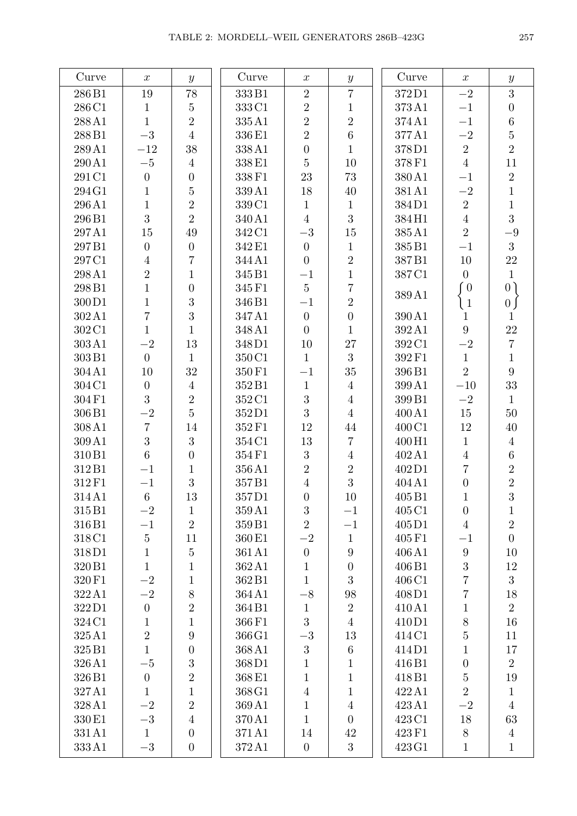| Curve              | $\boldsymbol{x}$ | $\boldsymbol{y}$ | Curve             | $\boldsymbol{x}$ | $\boldsymbol{y}$ | Curve  | $\boldsymbol{x}$ | $\boldsymbol{y}$                  |
|--------------------|------------------|------------------|-------------------|------------------|------------------|--------|------------------|-----------------------------------|
| 286B1              | $19\,$           | 78               | 333B1             | $\overline{2}$   | $\overline{7}$   | 372D1  | $-2$             | $\overline{3}$                    |
| 286 C1             | $\mathbf{1}$     | $\overline{5}$   | 333 C1            | $\overline{2}$   | $\mathbf{1}$     | 373A1  | $-1$             | $\overline{0}$                    |
| 288A1              | $\mathbf{1}$     | $\overline{2}$   | 335A1             | $\overline{2}$   | $\overline{2}$   | 374A1  | $-1$             | $6\phantom{.}6$                   |
| 288B1              | $-3$             | $\overline{4}$   | 336 E1            | $\overline{2}$   | $\,6\,$          | 377A1  | $-2$             | $\overline{5}$                    |
| 289A1              | $-12$            | 38               | 338A1             | $\overline{0}$   | $\mathbf{1}$     | 378D1  | $\overline{2}$   | $\overline{2}$                    |
| 290A1              | $-5\,$           | $\overline{4}$   | 338E1             | $\bf 5$          | $10\,$           | 378F1  | $\overline{4}$   | 11                                |
| 291 C1             | $\boldsymbol{0}$ | $\overline{0}$   | 338 F1            | 23               | 73               | 380A1  | $-1$             | $\overline{2}$                    |
| 294G1              | $\mathbf{1}$     | $\overline{5}$   | 339A1             | 18               | 40               | 381A1  | $-2$             | $\mathbf{1}$                      |
| 296A1              | $\mathbf{1}$     | $\overline{2}$   | 339 C1            | $\mathbf{1}$     | $\mathbf{1}$     | 384D1  | $\overline{2}$   | $\mathbf{1}$                      |
| 296B1              | 3                | $\overline{2}$   | 340A1             | $\overline{4}$   | 3                | 384H1  | $\overline{4}$   | 3                                 |
| 297A1              | 15               | 49               | 342 C1            | $-3$             | $15\,$           | 385A1  | $\overline{2}$   | $-9$                              |
| 297B1              | $\boldsymbol{0}$ | $\overline{0}$   | 342 E1            | $\overline{0}$   | $\mathbf{1}$     | 385B1  | $-1$             | 3                                 |
| 297C1              | $\overline{4}$   | $\overline{7}$   | 344A1             | $\overline{0}$   | $\overline{2}$   | 387B1  | $10\,$           | 22                                |
| 298A1              | $\sqrt{2}$       | $\mathbf{1}$     | 345 B1            | $-1$             | $\mathbf 1$      | 387C1  | $\overline{0}$   | $\mathbf{1}$                      |
| 298B1              | $\mathbf{1}$     | $\overline{0}$   | 345 F1            | $\overline{5}$   | $\overline{7}$   |        | $\degree$ 0      | 0 <sup>1</sup>                    |
| 300D1              | $\mathbf{1}$     | 3                | 346B1             | $-1$             | $\overline{2}$   | 389A1  | $\left(1\right)$ | $\begin{bmatrix} 0 \end{bmatrix}$ |
| 302A1              | $\overline{7}$   | 3                | 347A1             | $\overline{0}$   | $\boldsymbol{0}$ | 390A1  | 1                | $\mathbf 1$                       |
| 302C1              | $\mathbf{1}$     | $\mathbf{1}$     | 348 A1            | $\overline{0}$   | $\mathbf{1}$     | 392A1  | 9                | 22                                |
| 303A1              | $-2$             | 13               | 348D1             | 10               | $27\,$           | 392 C1 | $-2$             | $\overline{7}$                    |
| $303\,\mathrm{B}1$ | $\overline{0}$   | $\mathbf{1}$     | 350C1             | $\mathbf{1}$     | 3                | 392F1  | $\mathbf{1}$     | $\mathbf{1}$                      |
| 304A1              | 10               | 32               | 350 F1            | $-1$             | 35               | 396B1  | $\overline{2}$   | 9                                 |
| 304C1              | $\boldsymbol{0}$ | $\overline{4}$   | 352B1             | $\mathbf{1}$     | $\overline{4}$   | 399A1  | $-10\,$          | 33                                |
| 304F1              | 3                | $\overline{2}$   | 352C1             | 3                | $\overline{4}$   | 399B1  | $-2$             | $\mathbf{1}$                      |
| 306B1              | $-2$             | $\overline{5}$   | 352D1             | 3                | $\sqrt{4}$       | 400 A1 | 15               | 50                                |
| $308\,\mathrm{A}1$ | $\overline{7}$   | 14               | 352F1             | 12               | 44               | 400 C1 | 12               | 40                                |
| 309A1              | 3                | 3                | 354 C1            | 13               | $\overline{7}$   | 400H1  | $\mathbf{1}$     | $\overline{4}$                    |
| 310B1              | 6                | $\overline{0}$   | 354F1             | 3                | $\overline{4}$   | 402 A1 | $\overline{4}$   | $6\phantom{.}6$                   |
| 312B1              | $-1$             | $\mathbf{1}$     | 356A1             | $\overline{2}$   | $\overline{2}$   | 402D1  | $\overline{7}$   | $\overline{2}$                    |
| 312F1              | $-1$             | 3                | 357B1             | $\overline{4}$   | 3                | 404 A1 | $\boldsymbol{0}$ | $\overline{2}$                    |
| 314A1              | $\,6\,$          | $13\,$           | 357D1             | $\overline{0}$   | $10\,$           | 405B1  | 1                | 3                                 |
| 315B1              | $-2$             | $\mathbf{1}$     | 359A1             | $\boldsymbol{3}$ | $-1$             | 405 C1 | $\boldsymbol{0}$ | 1                                 |
| 316B1              | $-1$             | $\overline{2}$   | 359B1             | $\overline{2}$   | $-1\,$           | 405D1  | $\overline{4}$   | $\overline{2}$                    |
| 318C1              | $\bf 5$          | 11               | 360 <sub>E1</sub> | $-2$             | $\mathbf{1}$     | 405F1  | $-1$             | $\overline{0}$                    |
| 318D1              | $\mathbf{1}$     | $\bf 5$          | 361A1             | $\boldsymbol{0}$ | $\boldsymbol{9}$ | 406A1  | $\boldsymbol{9}$ | 10                                |
| 320 B1             | $\mathbf{1}$     | $\mathbf{1}$     | 362A1             | $\mathbf{1}$     | $\boldsymbol{0}$ | 406B1  | $\sqrt{3}$       | $12\,$                            |
| 320 F1             | $-2$             | $\mathbf{1}$     | 362B1             | $\mathbf{1}$     | $\boldsymbol{3}$ | 406 C1 | $\overline{7}$   | 3                                 |
| 322A1              | $-2$             | 8                | 364A1             | $-8$             | $98\,$           | 408D1  | $\overline{7}$   | $18\,$                            |
| 322D1              | $\boldsymbol{0}$ | $\overline{2}$   | 364B1             | $\mathbf{1}$     | $\sqrt{2}$       | 410A1  | $\mathbf{1}$     | $\overline{2}$                    |
| 324C1              | $\mathbf{1}$     | $\mathbf{1}$     | 366F1             | 3                | $\overline{4}$   | 410D1  | $8\,$            | 16                                |
| 325A1              | $\overline{2}$   | $\boldsymbol{9}$ | 366 G1            | $-3\,$           | 13               | 414C1  | $\overline{5}$   | 11                                |
| 325 B1             | $\mathbf{1}$     | $\overline{0}$   | 368A1             | 3                | $\,6\,$          | 414D1  | $\mathbf{1}$     | 17                                |
| 326A1              | $-5$             | 3                | 368D1             | $\mathbf{1}$     | $\,1\,$          | 416B1  | $\boldsymbol{0}$ | $\overline{2}$                    |
| 326B1              | $\boldsymbol{0}$ | $\overline{2}$   | 368E1             | $\mathbf{1}$     | $\mathbf{1}$     | 418B1  | $\bf 5$          | 19                                |
| 327A1              | $\mathbf{1}$     | $\mathbf{1}$     | 368 G1            | $\overline{4}$   | $\mathbf{1}$     | 422A1  | $\overline{2}$   | $\mathbf{1}$                      |
| 328A1              | $-2$             | $\overline{2}$   | 369A1             | $\mathbf{1}$     | $\sqrt{4}$       | 423A1  | $-2$             | $\overline{4}$                    |
| 330 E1             | $-3\,$           | $\overline{4}$   | 370A1             | $\mathbf{1}$     | $\overline{0}$   | 423 C1 | $18\,$           | 63                                |
| 331A1              | $\mathbf{1}$     | $\overline{0}$   | 371A1             | 14               | $42\,$           | 423 F1 | $8\,$            | $\overline{4}$                    |
| 333A1              | $-3$             | $\overline{0}$   | 372A1             | $\theta$         | 3                | 423 G1 | $\mathbf{1}$     | $\mathbf{1}$                      |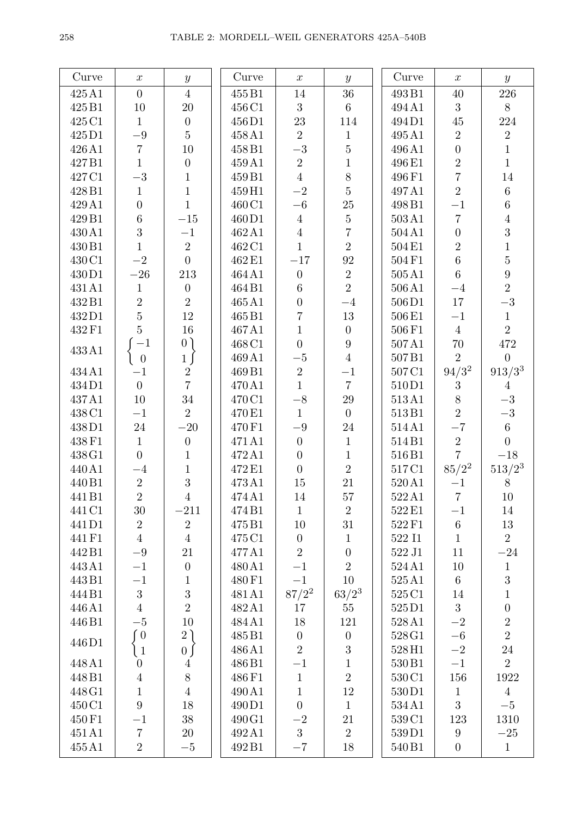| Curve  | $\boldsymbol{x}$ | $\boldsymbol{y}$ | Curve  | $\boldsymbol{x}$ | $\boldsymbol{y}$ | Curve            | $\boldsymbol{x}$ | $\boldsymbol{y}$ |
|--------|------------------|------------------|--------|------------------|------------------|------------------|------------------|------------------|
| 425A1  | $\overline{0}$   | $\overline{4}$   | 455 B1 | 14               | 36               | 493B1            | 40               | 226              |
| 425B1  | $10\,$           | 20               | 456 C1 | 3                | $6\phantom{.}6$  | 494A1            | 3                | 8                |
| 425 C1 | $\mathbf{1}$     | $\boldsymbol{0}$ | 456D1  | 23               | 114              | 494D1            | $45\,$           | $224\,$          |
| 425D1  | $-9\,$           | $\overline{5}$   | 458 A1 | $\overline{2}$   | $\mathbf{1}$     | 495A1            | $\overline{2}$   | $\overline{2}$   |
| 426A1  | $\overline{7}$   | $10\,$           | 458B1  | $-3$             | $\overline{5}$   | 496A1            | $\overline{0}$   | $1\,$            |
| 427B1  | $\mathbf{1}$     | $\boldsymbol{0}$ | 459 A1 | $\sqrt{2}$       | $\,1$            | 496E1            | $\overline{2}$   | $1\,$            |
| 427C1  | $-3\,$           | $\overline{1}$   | 459 B1 | $\overline{4}$   | 8                | 496F1            | $\overline{7}$   | 14               |
| 428B1  | $\mathbf{1}$     | $\overline{1}$   | 459H1  | $-2$             | $\overline{5}$   | 497A1            | $\overline{2}$   | $6\,$            |
| 429A1  | $\boldsymbol{0}$ | $\overline{1}$   | 460 C1 | $-6\,$           | $25\,$           | 498B1            | $-1$             | $\,6\,$          |
| 429B1  | $6\phantom{.}6$  | $-15\,$          | 460D1  | $\overline{4}$   | $\overline{5}$   | 503A1            | $\overline{7}$   | $\boldsymbol{4}$ |
| 430A1  | 3                | $-1$             | 462A1  | $\sqrt{4}$       | $\overline{7}$   | 504A1            | $\overline{0}$   | $\overline{3}$   |
| 430 B1 | $\mathbf{1}$     | $\overline{2}$   | 462 C1 | $\mathbf{1}$     | $\overline{2}$   | 504E1            | $\overline{2}$   | $\mathbf 1$      |
| 430 C1 | $-2$             | $\overline{0}$   | 462 E1 | $-17\,$          | 92               | 504F1            | $6\phantom{.}6$  | $\overline{5}$   |
| 430D1  | $-26\,$          | $213\,$          | 464 A1 | $\boldsymbol{0}$ | $\overline{2}$   | 505A1            | $6\phantom{.}6$  | $\boldsymbol{9}$ |
| 431 A1 | $\mathbf{1}$     | $\boldsymbol{0}$ | 464B1  | $\,6\,$          | $\overline{2}$   | 506A1            | $-4$             | $\overline{2}$   |
| 432B1  | $\overline{2}$   | $\overline{2}$   | 465A1  | $\overline{0}$   | $-4$             | 506D1            | 17               | $-3\,$           |
| 432D1  | $\overline{5}$   | $12\,$           | 465B1  | $\sqrt{ }$       | $13\,$           | 506E1            | $-1$             | $\,1$            |
| 432 F1 | $\overline{5}$   | $16\,$           | 467A1  | $\mathbf{1}$     | $\overline{0}$   | 506F1            | $\overline{4}$   | $\overline{2}$   |
|        | $-1$             | 0)               | 468 C1 | $\overline{0}$   | $9\phantom{.}$   | 507A1            | $70\,$           | 472              |
| 433A1  | $\boldsymbol{0}$ | 1)               | 469A1  | $-5\,$           | $\overline{4}$   | 507B1            | $\overline{2}$   | $\overline{0}$   |
| 434A1  | $-1$             | $\,2$            | 469B1  | $\sqrt{2}$       | $-1$             | 507C1            | $94/3^2$         | $913/3^3$        |
| 434D1  | $\overline{0}$   | $\overline{7}$   | 470A1  | $\mathbf{1}$     | $\overline{7}$   | 510D1            | 3                | $\overline{4}$   |
| 437A1  | $10\,$           | 34               | 470 C1 | $-8\,$           | $29\,$           | 513A1            | 8                | $-3\,$           |
| 438 C1 | $-1$             | $\overline{2}$   | 470 E1 | $\mathbf{1}$     | $\boldsymbol{0}$ | 513B1            | $\overline{2}$   | $-3\,$           |
| 438D1  | $24\,$           | $-20\,$          | 470 F1 | $-9\,$           | $24\,$           | 514A1            | $-7$             | $6\phantom{.}$   |
| 438 F1 | $\mathbf{1}$     | $\boldsymbol{0}$ | 471A1  | $\boldsymbol{0}$ | $\mathbf{1}$     | 514B1            | $\overline{2}$   | $\overline{0}$   |
| 438 G1 | $\overline{0}$   | $\mathbf{1}$     | 472A1  | $\boldsymbol{0}$ | $\mathbf{1}$     | 516B1            | $\overline{7}$   | $-18\,$          |
| 440A1  | $-4$             | $\mathbf{1}$     | 472 E1 | $\boldsymbol{0}$ | $\overline{2}$   | 517C1            | $85/2^2$         | $513/2^3$        |
| 440 B1 | $\sqrt{2}$       | $\overline{3}$   | 473A1  | $15\,$           | 21               | 520A1            | $-1$             | $8\,$            |
| 441B1  | $\overline{2}$   | $\sqrt{4}$       | 474A1  | $14\,$           | $57\,$           | 522A1            | $\,7$            | $10\,$           |
| 441 C1 | $30\,$           | $-211$           | 474B1  | $\mathbf{1}$     | $\overline{2}$   | 522 E1           | $-1$             | 14               |
| 441D1  | $\sqrt{2}$       | $\overline{2}$   | 475B1  | $10\,$           | 31               | 522F1            | $\,6\,$          | $13\,$           |
| 441 F1 | $\overline{4}$   | $\overline{4}$   | 475 C1 | $\boldsymbol{0}$ | $\mathbf{1}$     | 522 I1           | $\mathbf{1}$     | $\overline{2}$   |
| 442B1  | $-9\,$           | 21               | 477A1  | $\overline{2}$   | $\overline{0}$   | 522 J1           | 11               | $-24\,$          |
| 443A1  | $-1$             | $\boldsymbol{0}$ | 480A1  | $-1\,$           | $\overline{2}$   | 524A1            | 10               | $\,1\,$          |
| 443B1  | $-1$             | $\mathbf{1}$     | 480 F1 | $-1\,$           | 10               | 525A1            | $6\phantom{.}6$  | $\sqrt{3}$       |
| 444B1  | $\sqrt{3}$       | $\overline{3}$   | 481 A1 | $87/2^2$         | $63/2^3$         | 525C1            | 14               | $\,1$            |
| 446A1  | $\overline{4}$   | $\overline{2}$   | 482A1  | 17               | $55\,$           | 525D1            | 3                | $\boldsymbol{0}$ |
| 446B1  | $-5\,$           | 10               | 484 A1 | $18\,$           | 121              | 528A1            | $-2$             | $\overline{2}$   |
| 446D1  | $\int 0$         | 2)               | 485 B1 | $\boldsymbol{0}$ | $\boldsymbol{0}$ | $528\!\times\!1$ | $-6\,$           | $\overline{2}$   |
|        | $\left(1\right)$ | 0 <sub>0</sub>   | 486A1  | $\overline{2}$   | $\overline{3}$   | 528H1            | $-2$             | $24\,$           |
| 448 A1 | $\overline{0}$   | $\overline{4}$   | 486 B1 | $-1$             | $\,1$            | 530 B1           | $-1$             | $\overline{2}$   |
| 448B1  | $\overline{4}$   | $8\,$            | 486 F1 | $\mathbf{1}$     | $\overline{2}$   | 530C1            | 156              | 1922             |
| 448G1  | $\mathbf{1}$     | $\sqrt{4}$       | 490A1  | $\mathbf{1}$     | 12               | 530D1            | $\mathbf{1}$     | $\overline{4}$   |
| 450 C1 | $9\phantom{.}$   | $18\,$           | 490D1  | $\overline{0}$   | $\mathbf{1}$     | 534A1            | 3                | $-5$             |
| 450 F1 | $-1$             | 38               | 490 G1 | $-2\,$           | $21\,$           | 539C1            | 123              | 1310             |
| 451A1  | $\,7$            | $20\,$           | 492A1  | 3                | $\overline{2}$   | 539D1            | $\boldsymbol{9}$ | $-25\,$          |
| 455A1  | $\overline{2}$   | $-5$             | 492B1  | $-7$             | $18\,$           | 540 B1           | $\boldsymbol{0}$ | $\mathbf{1}$     |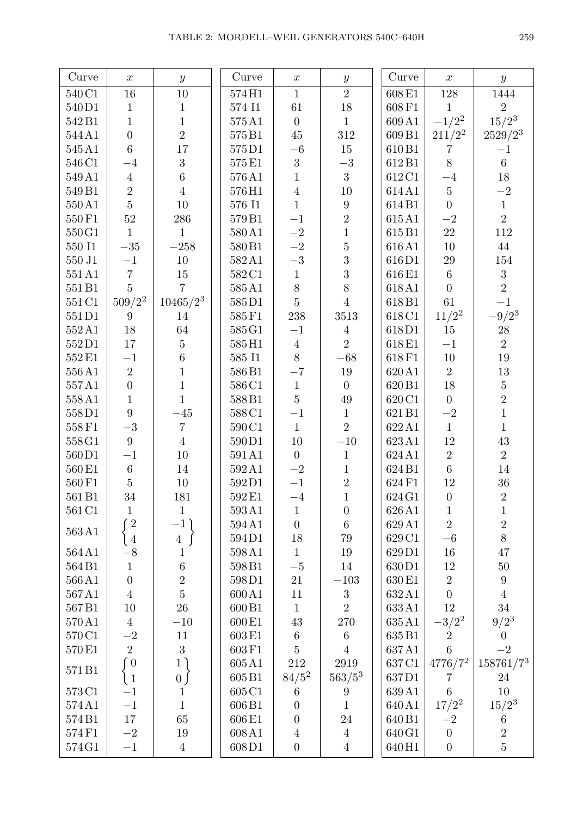| Curve             | $\boldsymbol{x}$                                                    | $\boldsymbol{y}$                 | Curve                 | $\boldsymbol{x}$                   | $\boldsymbol{y}$                   | Curve              | $\boldsymbol{x}$             | $\boldsymbol{y}$         |
|-------------------|---------------------------------------------------------------------|----------------------------------|-----------------------|------------------------------------|------------------------------------|--------------------|------------------------------|--------------------------|
| 540C1             | $16\,$                                                              | $10\,$                           | 574H1                 | $\mathbf{1}$                       | $\overline{2}$                     | $608\,\mathrm{E1}$ | 128                          | 1444                     |
| 540D1             | $\mathbf{1}$                                                        | $\,1$                            | 574 I1                | 61                                 | $18\,$                             | $608\,\mathrm{F1}$ | $\mathbf 1$                  | $\sqrt{2}$               |
| 542B1             | $\mathbf{1}$                                                        | $\mathbf{1}$                     | 575A1                 | $\overline{0}$                     | $\mathbf{1}$                       | 609A1              | $-1/2^2$                     | $15/2^3$                 |
| 544 A1            | $\overline{0}$                                                      | $\overline{2}$                   | 575B1                 | $45\,$                             | 312                                | 609B1              | $211/2^2$                    | $2529/2^3$               |
| 545 A1            | $\overline{6}$                                                      | 17                               | 575D1                 | $-6\,$                             | 15                                 | 610B1              | $\overline{7}$               | $^{-1}$                  |
| 546C1             | $-4$                                                                | 3                                | 575E1                 | $\mathfrak{Z}$                     | $-3\,$                             | 612B1              | 8                            | $\overline{6}$           |
| 549 A1            | $\overline{4}$                                                      | $\,6\,$                          | 576A1                 | $\mathbf{1}$                       | 3                                  | 612C1              | $-4$                         | 18                       |
| 549B1             | $\overline{2}$                                                      | $\overline{4}$                   | 576H1                 | $\sqrt{4}$                         | 10                                 | 614A1              | $\overline{5}$               | $-2$                     |
| 550A1             | $\bf 5$                                                             | $10\,$                           | 576 I1                | $\mathbf{1}$                       | $\boldsymbol{9}$                   | 614B1              | $\overline{0}$               | $\,1\,$                  |
| 550F1             | $52\,$                                                              | 286                              | 579B1                 | $-1\,$                             | $\overline{2}$                     | 615A1              | $-2\,$                       | $\overline{2}$           |
| 550G1             | $\mathbf{1}$                                                        | $\mathbf{1}$                     | 580A1                 | $-{\bf 2}$                         | $\mathbf{1}$                       | 615B1              | 22                           | $112\,$                  |
| $550\;11$         | $-35\,$                                                             | $-258\,$                         | 580 <sub>B1</sub>     | $-{\bf 2}$                         | $\overline{5}$                     | 616A1              | $10\,$                       | 44                       |
| $550\:\rm J1$     | $-1$                                                                | $10\,$                           | 582A1                 | $-3\,$                             | 3                                  | 616D1              | $29\,$                       | 154                      |
| 551A1             | $\overline{7}$                                                      | $15\,$                           | 582C1                 | $\mathbf 1$                        | 3                                  | 616E1              | $\,6\,$                      | $\sqrt{3}$               |
| 551B1             | $\overline{5}$                                                      | $\overline{7}$                   | 585A1                 | $8\,$                              | 8                                  | 618A1              | $\overline{0}$               | $\overline{2}$           |
| 551 C1            | $509/2^2$                                                           | $10465/2^3$                      | 585D1                 | $\overline{5}$                     | $\overline{4}$                     | 618B1              | 61                           | $-1$                     |
| 551D1             | 9                                                                   | 14                               | 585F1                 | $238\,$                            | 3513                               | 618C1              | $11/2^2$                     | $-9/2^3$                 |
| 552A1             | $18\,$                                                              | 64                               | 585 G1                | $-1$                               | $\overline{4}$                     | 618D1              | 15                           | $28\,$                   |
| 552D1             | $17\,$                                                              | $\bf 5$                          | $585\!\, \mathrm{H}1$ | $\sqrt{4}$                         | $\overline{2}$                     | 618E1              | $-1\,$                       | $\overline{2}$           |
| 552E1             | $-1$                                                                | $\,6\,$                          | $585\;11$             | $8\,$                              | $-68$                              | 618F1              | $10\,$                       | $19\,$                   |
| 556A1             | $\overline{2}$                                                      | $\mathbf{1}$                     | 586B1                 | $-\mathbf{7}$                      | 19                                 | 620A1              | $\overline{2}$               | 13                       |
| 557A1             | $\overline{0}$                                                      | $\mathbf{1}$                     | 586C1                 | $\,1\,$                            | $\boldsymbol{0}$                   | 620B1              | $18\,$                       | $\bf 5$                  |
| 558A1             | $\mathbf{1}$                                                        | $\mathbf{1}$                     | 588B1                 | $\overline{5}$                     | 49                                 | 620C1              | $\boldsymbol{0}$             | $\overline{2}$           |
| 558D1             | 9                                                                   | $-45$                            | 588C1                 | $-1\,$                             | $\mathbf{1}$                       | 621B1              | $-2\,$                       | $\mathbf{1}$             |
| 558F1             | $-3\,$                                                              | $\overline{7}$                   | 590C1                 | $\mathbf{1}$                       | $\overline{2}$                     | 622A1              | $\mathbf{1}$                 | $\mathbf 1$              |
| 558G1             | 9                                                                   | $\overline{4}$                   | 590D1                 | $10\,$                             | $-10\,$                            | 623A1              | 12                           | $43\,$                   |
| 560D1             | $-1$                                                                | $10\,$                           | 591A1                 | $\boldsymbol{0}$                   | $\mathbf{1}$                       | 624A1              | $\sqrt{2}$                   | $\overline{2}$           |
| 560 <sub>E1</sub> | $\sqrt{6}$                                                          | 14                               | 592A1                 | $-2\,$                             | $\mathbf{1}$                       | 624B1              | $6\phantom{.}6$              | $14\,$                   |
| 560F1             | $\overline{5}$                                                      | $10\,$                           | 592D1                 | $-1\,$                             | $\overline{2}$                     | 624F1              | $12\,$                       | $36\,$                   |
| 561 B1            | 34                                                                  | 181                              | 592E1                 | $-4\,$                             | $\overline{1}$                     | 624G1              | $\boldsymbol{0}$             | $\overline{2}$           |
| 561 C1            | 1                                                                   | $\mathbf{1}$                     | 593A1                 | $\mathbf{1}$                       | $\boldsymbol{0}$                   | 626A1              | 1                            | 1                        |
| 563A1             | $\sqrt{2}$                                                          | $-1)$                            | 594A1                 | $\overline{0}$                     | $\,6$                              | 629A1              | $\overline{2}$               | $\overline{2}$           |
|                   | $\begin{array}{c} 14 \\ -8 \end{array}$                             | $\overline{4}$                   | 594D1                 | 18                                 | 79                                 | 629 C1             | $-6\,$                       | 8                        |
| 564A1             |                                                                     | $\mathbf 1$                      | 598A1                 | $\mathbf{1}$                       | 19                                 | 629D1              | 16                           | 47                       |
| 564B1             | $\mathbf{1}$                                                        | $\,6\,$                          | 598B1                 | $-5\,$                             | 14                                 | 630D1              | 12                           | $50\,$                   |
| 566A1             | $\overline{0}$                                                      | $\overline{2}$<br>$\overline{5}$ | 598D1                 | $21\,$                             | $-103\,$                           | 630 E1             | $\sqrt{2}$                   | 9                        |
| 567A1             | $\sqrt{4}$                                                          |                                  | 600A1                 | 11                                 | $\boldsymbol{3}$<br>$\overline{2}$ | 632A1              | $\overline{0}$               | $\overline{4}$           |
| 567B1             | $10\,$                                                              | 26                               | 600 <sub>B1</sub>     | $\mathbf{1}$                       |                                    | 633A1              | 12                           | $34\,$                   |
| 570A1             | $\sqrt{4}$<br>$-2$                                                  | $-10$                            | 600 <sub>E1</sub>     | 43                                 | 270                                | 635A1              | $-3/2^2$                     | $9/2^3$                  |
| 570C1             | $\overline{2}$                                                      | 11<br>3                          | 603E1                 | $\boldsymbol{6}$<br>$\overline{5}$ | $\,6\,$                            | 635B1<br>637A1     | $\sqrt{2}$<br>$\overline{6}$ | $\boldsymbol{0}$<br>$-2$ |
| 570E1             | $\sqrt{0}$                                                          | 1)                               | 603F1                 | $212\,$                            | $\overline{4}$<br>2919             |                    | $4776/7^2$                   | 158761/73                |
| 571B1             |                                                                     | 0 <sub>1</sub>                   | 605A1<br>605B1        | $84/5^2$                           | $563/5^3$                          | 637C1<br>637D1     | 7                            | 24                       |
| 573C1             | $\begin{array}{c} \begin{array}{c} 1 \\ -1 \end{array} \end{array}$ | $\mathbf 1$                      | 605 C1                | $\,6$                              | 9                                  | 639A1              | 6                            | 10                       |
| 574A1             | $-1$                                                                | $\mathbf{1}$                     | 606B1                 | $\overline{0}$                     | $\mathbf{1}$                       | 640A1              | $17/2^2$                     | $15/2^3$                 |
| 574B1             | $17\,$                                                              | 65                               | 606E1                 | $\overline{0}$                     | $24\,$                             | 640 <sub>B1</sub>  | $-{\bf 2}$                   | 6                        |
| 574F1             | $-2$                                                                | 19                               | 608A1                 | $\overline{4}$                     | $\overline{4}$                     | 640G1              | $\boldsymbol{0}$             | $\overline{2}$           |
| 574G1             | $-1$                                                                | $\overline{4}$                   | 608D1                 | $\boldsymbol{0}$                   | $\overline{4}$                     | 640H1              | $\boldsymbol{0}$             | $\overline{5}$           |
|                   |                                                                     |                                  |                       |                                    |                                    |                    |                              |                          |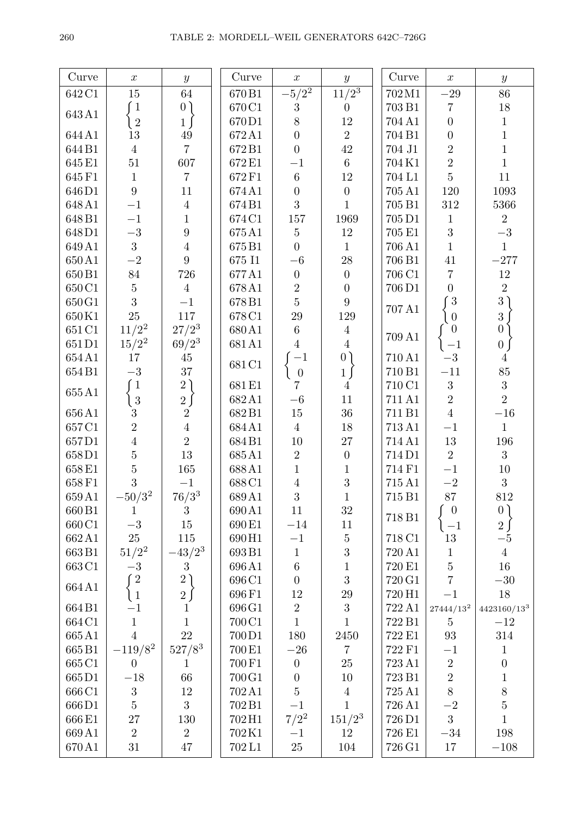| Curve              | $\boldsymbol{x}$ | $\boldsymbol{y}$ | Curve              | $\boldsymbol{x}$ | $\boldsymbol{y}$ | $\ensuremath{\mathrm{Curve}}$ | $\boldsymbol{x}$  | $\boldsymbol{y}$ |
|--------------------|------------------|------------------|--------------------|------------------|------------------|-------------------------------|-------------------|------------------|
| 642 C1             | $15\,$           | 64               | 670B1              | $-5/2^2$         | $\frac{11}{2^3}$ | 702M1                         | $-29\,$           | 86               |
|                    | $\degree$ 1      | 0)               | 670 C1             | $\sqrt{3}$       | $\theta$         | 703 B1                        | $\,7$             | $18\,$           |
| $643\,\mathrm{A}1$ | $\overline{2}$   | $1 \int$         | 670D1              | 8                | $12\,$           | 704 A1                        | $\boldsymbol{0}$  | $\mathbf{1}$     |
| 644A1              | 13               | $\rm 49$         | 672A1              | $\overline{0}$   | $\overline{2}$   | 704 B1                        | $\boldsymbol{0}$  | $\,1\,$          |
| 644B1              | $\sqrt{4}$       | $\overline{7}$   | 672B1              | $\overline{0}$   | $42\,$           | 704 J1                        | $\overline{2}$    | $\mathbf{1}$     |
| 645E1              | $51\,$           | 607              | 672 E1             | $-1$             | $6\,$            | 704K1                         | $\overline{2}$    | $\mathbf{1}$     |
| 645F1              | $\mathbf{1}$     | $\overline{7}$   | 672F1              | $\,6\,$          | $12\,$           | 704 L1                        | $\overline{5}$    | $11\,$           |
| 646D1              | $\overline{9}$   | 11               | 674A1              | $\boldsymbol{0}$ | $\boldsymbol{0}$ | 705 A1                        | 120               | $1093\,$         |
| 648A1              | $-1$             | $\overline{4}$   | 674B1              | 3                | $\mathbf{1}$     | 705 B1                        | $312\,$           | 5366             |
| 648B1              | $-1$             | $\mathbf{1}$     | 674 C1             | $157\,$          | 1969             | 705 D1                        | $\mathbf{1}$      | $\overline{2}$   |
| 648D1              | $-3\,$           | $\boldsymbol{9}$ | 675A1              | $\bf 5$          | $12\,$           | 705 E1                        | $\overline{3}$    | $-3\,$           |
| 649A1              | $\overline{3}$   | $\overline{4}$   | 675B1              | $\overline{0}$   | $\mathbf{1}$     | 706 A1                        | $\mathbf{1}$      | $\mathbf{1}$     |
| 650A1              | $-{\bf 2}$       | $9\phantom{.}$   | $675\;11$          | $-6\,$           | $28\,$           | 706 B1                        | $41\,$            | $-277$           |
| 650 <sub>B1</sub>  | $84\,$           | $726\,$          | 677A1              | $\boldsymbol{0}$ | $\overline{0}$   | 706 C1                        | $\overline{7}$    | $12\,$           |
| 650 C1             | $\bf 5$          | $\overline{4}$   | 678A1              | $\overline{2}$   | $\boldsymbol{0}$ | 706D1                         | $\overline{0}$    | $\sqrt{2}$       |
| 650 G1             | $\overline{3}$   | $-1$             | 678B1              | $\overline{5}$   | $9\phantom{.}$   |                               | $\degree{3}$      | 3)               |
| 650K1              | 25               | $117\,$          | 678 C1             | $29\,$           | 129              | $707\,\mathrm{A}1$            | $\overline{0}$    | 3 <sub>l</sub>   |
| 651 C1             | $11/2^2$         | $27/2^3$         | 680A1              | $\,6\,$          | $\overline{4}$   |                               | $\overline{0}$    | $\bigcirc$       |
| 651D1              | $15/2^2$         | $69/2^3$         | 681A1              | $\overline{4}$   | $\overline{4}$   | 709 A1                        | $-1$              | 0 <sub>0</sub>   |
| 654A1              | 17               | 45               |                    | $-1$             | 0 <sub>0</sub>   | 710 A1                        | $-3$              | $\overline{4}$   |
| 654B1              | $-3\,$           | 37               | 681 C1             | $\theta$         | $1 \mid$         | 710 B1                        | $-11$             | $85\,$           |
|                    | $\sqrt{1}$       | 2)               | 681E1              | $\overline{7}$   | $\overline{4}$   | 710 C1                        | $\overline{3}$    | $\boldsymbol{3}$ |
| $655\,\mathrm{A}1$ | $\overline{3}$   | $2 \int$         | 682A1              | $-6\,$           | 11               | 711 A1                        | $\overline{2}$    | $\overline{2}$   |
| 656A1              | $\mathbf{3}$     | $\overline{2}$   | 682B1              | $15\,$           | $36\,$           | 711 B1                        | $\overline{4}$    | $-16\,$          |
| 657C1              | $\overline{2}$   | $\overline{4}$   | 684A1              | $\overline{4}$   | $18\,$           | 713 A1                        | $-1$              | $\mathbf{1}$     |
| 657D1              | $\overline{4}$   | $\overline{2}$   | 684B1              | $10\,$           | $27\,$           | 714 A1                        | $13\,$            | $196\,$          |
| 658D1              | $\overline{5}$   | $13\,$           | 685A1              | $\overline{2}$   | $\overline{0}$   | 714D1                         | $\overline{2}$    | 3                |
| $658\,\mathrm{E1}$ | $\overline{5}$   | $165\,$          | 688A1              | $\mathbf{1}$     | $\mathbf{1}$     | 714 F1                        | $-1\,$            | $10\,$           |
| 658F1              | $\overline{3}$   | $-1$             | 688C1              | $\sqrt{4}$       | $\overline{3}$   | 715 A1                        | $-2\,$            | 3                |
| 659A1              | $-50/3^2$        | $76/3^3$         | 689A1              | 3                | $\mathbf{1}$     | 715 B1                        | $87\,$            | 812              |
| 660 <sub>B1</sub>  | $\mathbf{1}$     | 3                | 690A1              | 11               | $32\,$           | 718 B1                        | $\boldsymbol{0}$  | 0)               |
| 660 C1             | $-3\,$           | $15\,$           | 690 E1             | $-14\,$          | 11               |                               | $-1\,$            | $2\int$          |
| 662A1              | 25               | 115              | 690H1              | $-1\,$           | $\bf 5$          | 718 C1                        | 13                | $-5$             |
| 663B1              | $51/2^2$         | $-43/2^{3}$      | 693B1              | $\,1\,$          | 3                | 720 A1                        | $\,1\,$           | $\sqrt{4}$       |
| 663 C1             | $-3\,$           | $\boldsymbol{3}$ | 696A1              | $\,6\,$          | $\mathbf 1$      | 720 E1                        | $\bf 5$           | 16               |
| 664A1              | $\sqrt{2}$       | 2)               | 696 C1             | $\boldsymbol{0}$ | 3                | 720 G1                        | $\overline{7}$    | $-30\,$          |
|                    | $\overline{1}$   | $2\int$          | 696F1              | 12               | $\,29$           | 720 H <sub>1</sub>            | $-1\,$            | 18               |
| 664B1              | $-1$             | $\mathbf{1}$     | 696 G1             | $\sqrt{2}$       | $\sqrt{3}$       | 722 A1                        | $27444/13^2$      | $4423160/13^3$   |
| 664 C1             | $\mathbf{1}$     | $\overline{1}$   | 700 C1             | $\mathbf{1}$     | $\mathbf{1}$     | 722 B1                        | $\overline{5}$    | $-12$            |
| 665A1              | $\overline{4}$   | 22               | 700D1              | 180              | 2450             | 722 E1                        | $\boldsymbol{93}$ | 314              |
| 665B1              | $-119/8^2$       | $527/8^3$        | 700 E1             | $-26$            | $\overline{7}$   | 722 F1                        | $-1$              | $\mathbf{1}$     |
| 665 C1             | $\boldsymbol{0}$ | $\mathbf{1}$     | 700 F1             | $\boldsymbol{0}$ | $25\,$           | 723 A1                        | $\sqrt{2}$        | $\boldsymbol{0}$ |
| 665D1              | $-18\,$          | 66               | $700\,\mathrm{G}1$ | $\boldsymbol{0}$ | 10               | 723 B1                        | $\overline{2}$    | $\,1$            |
| 666 C1             | $\sqrt{3}$       | 12               | 702A1              | $\overline{5}$   | $\overline{4}$   | 725 A1                        | 8                 | 8                |
| 666D1              | $\bf 5$          | 3                | 702B1              | $-1$             | $\mathbf{1}$     | 726 A1                        | $-2\,$            | $\overline{5}$   |
| 666 <sub>E1</sub>  | $27\,$           | 130              | 702H1              | $7/2^2$          | $151/2^3$        | 726 D1                        | 3                 | $\mathbf{1}$     |
| 669A1              | $\sqrt{2}$       | $\sqrt{2}$       | 702K1              | $-1$             | 12               | $726\,\mathrm{E}1$            | $-34\,$           | 198              |
| 670A1              | 31               | 47               | 702L1              | 25               | 104              | 726 G1                        | 17                | $-108\,$         |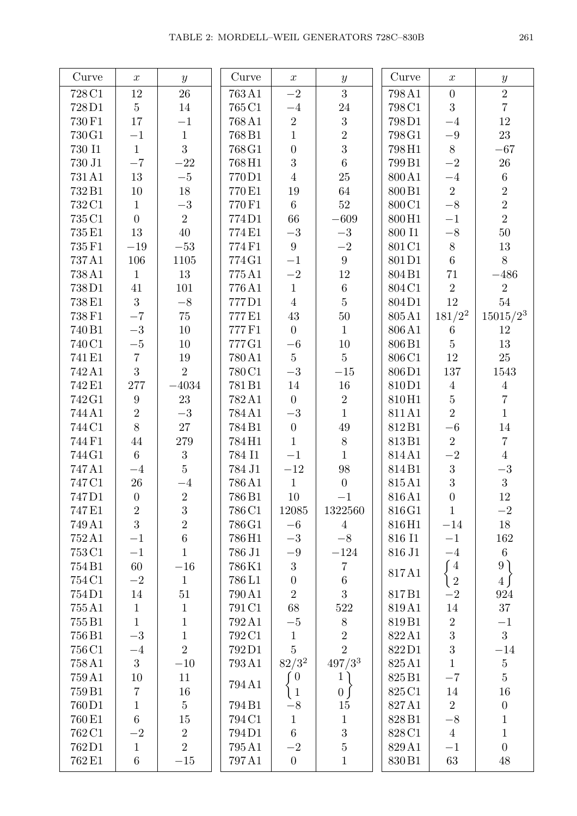| Curve              | $\boldsymbol{x}$ | $\boldsymbol{y}$ | Curve              | $\boldsymbol{x}$ | $\boldsymbol{y}$ | Curve              | $\boldsymbol{x}$ | $\boldsymbol{y}$ |
|--------------------|------------------|------------------|--------------------|------------------|------------------|--------------------|------------------|------------------|
| 728 C1             | $12\,$           | $26\,$           | 763A1              | $-2$             | 3                | 798A1              | $\boldsymbol{0}$ | $\sqrt{2}$       |
| 728D1              | $\overline{5}$   | $14\,$           | 765 C1             | $-4$             | $24\,$           | 798C1              | 3                | $\overline{7}$   |
| 730 F1             | $17\,$           | $-1$             | 768A1              | $\overline{2}$   | $\sqrt{3}$       | 798D1              | $-4$             | $12\,$           |
| 730 G1             | $-1$             | $\,1\,$          | 768B1              | $\mathbf{1}$     | $\overline{2}$   | 798G1              | $-9\,$           | 23               |
| 730 I1             | $\mathbf{1}$     | 3                | 768 G1             | $\overline{0}$   | 3                | 798H1              | $8\,$            | $-67\,$          |
| 730 J1             | $-\mathbf{7}$    | $-22\,$          | 768H1              | $\overline{3}$   | $\overline{6}$   | 799B1              | $-2$             | $26\,$           |
| $731\,\mathrm{A}1$ | $13\,$           | $-5$             | 770D1              | $\overline{4}$   | $25\,$           | 800A1              | $-4$             | $\,6\,$          |
| 732B1              | $10\,$           | $18\,$           | 770E1              | $19\,$           | 64               | 800B1              | 2                | $\overline{2}$   |
| 732 C1             | $\mathbf{1}$     | $-3\,$           | 770 F1             | $6\,$            | $52\,$           | 800C1              | $-8$             | $\overline{2}$   |
| 735 C1             | $\overline{0}$   | $\overline{2}$   | 774D1              | 66               | $-609\,$         | 800H1              | $-1$             | $\overline{2}$   |
| 735 E1             | $13\,$           | $40\,$           | 774E1              | $-3\,$           | $-3$             | $800\;11$          | $-8\,$           | $50\,$           |
| 735 F1             | $-19$            | $-53\,$          | 774F1              | $9\phantom{.0}$  | $-2$             | 801 C1             | $8\,$            | $13\,$           |
| 737A1              | 106              | 1105             | $774\,\mathrm{G}1$ | $-1$             | $9\phantom{.}$   | 801D1              | $6\phantom{.}$   | $8\,$            |
| 738A1              | $\mathbf{1}$     | 13               | 775A1              | $-2$             | $12\,$           | 804B1              | $71\,$           | $-486\,$         |
| 738D1              | $41\,$           | 101              | 776A1              | $\,1$            | $6\,$            | 804C1              | $\overline{2}$   | $\sqrt{2}$       |
| 738E1              | 3                | $-8\,$           | 777D1              | $\overline{4}$   | $\overline{5}$   | 804D1              | $12\,$           | $54\,$           |
| 738 F1             | $-7$             | $75\,$           | 777E1              | $43\,$           | $50\,$           | 805A1              | $181/2^2$        | $15015/2^3$      |
| 740 B1             | $-3\,$           | $10\,$           | 777F1              | $\overline{0}$   | $\mathbf{1}$     | $806\,\mathrm{A1}$ | $\,6\,$          | 12               |
| 740 C1             | $-5\,$           | $10\,$           | 777G1              | $-6$             | $10\,$           | 806B1              | $\overline{5}$   | 13               |
| 741 E1             | $\overline{7}$   | $19\,$           | 780A1              | $5\phantom{.0}$  | $5\overline{)}$  | 806C1              | $12\,$           | 25               |
| 742 A1             | 3                | $\overline{2}$   | 780C1              | $-3\,$           | $-15\,$          | 806D1              | 137              | 1543             |
| 742 E1             | $277\,$          | $-4034\,$        | 781B1              | 14               | $16\,$           | 810D1              | $\overline{4}$   | $\overline{4}$   |
| 742 G1             | $\boldsymbol{9}$ | 23               | 782A1              | $\overline{0}$   | $\overline{2}$   | 810H1              |                  | $\overline{7}$   |
| 744A1              | $\sqrt{2}$       | $-3\,$           | 784A1              | $-3\,$           | $\mathbf{1}$     | 811A1              | $\frac{5}{2}$    | $\mathbf{1}$     |
| 744C1              | 8                | $27\,$           | 784B1              | $\overline{0}$   | 49               | 812B1              | $-6$             | $14\,$           |
| 744F1              | $44\,$           | $279\,$          | 784H1              | $\mathbf{1}$     | $8\,$            | 813B1              | $\overline{2}$   | $\,7$            |
| 744 G1             | $6\phantom{.}6$  | $\overline{3}$   | 784 I1             | $-1$             | $\mathbf{1}$     | $814\,\mathrm{A}1$ | $-2$             | $\overline{4}$   |
| 747A1              | $-4$             | $\overline{5}$   | 784 J1             | $-12\,$          | $98\,$           | 814B1              | $\overline{3}$   | $-3\,$           |
| 747 C1             | $26\,$           | $-4$             | 786A1              | $\mathbf{1}$     | $\boldsymbol{0}$ | 815A1              | $\overline{3}$   | $\overline{3}$   |
| 747D1              | $\boldsymbol{0}$ | $\sqrt{2}$       | 786B1              | $10\,$           | $-1$             | 816A1              | $\overline{0}$   | $12\,$           |
| 747 E1             | $\overline{2}$   | $\sqrt{3}$       | 786 C1             | 12085            | 1322560          | 816G1              | $\mathbf{1}$     | $-2$             |
| 749 A1             | 3                | $\overline{2}$   | 786 G1             | $-6$             | $\overline{4}$   | 816H1              | $-14$            | 18               |
| 752A1              | $-1$             | $\sqrt{6}$       | 786H1              | $-3$             | $-8$             | 816 I1             | $-1$             | 162              |
| 753 C1             | $-1$             | $\mathbf{1}$     | 786 J1             | $-9\,$           | $-124\,$         | 816 J1             | $-4$             | $\,6\,$          |
| 754B1              | $60\,$           | $-16\,$          | 786K1              | $\overline{3}$   | $\,7$            | 817A1              | $\int$ 4         | 9)               |
| 754 C1             | $-2$             | $\mathbf{1}$     | 786L1              | $\boldsymbol{0}$ | $6\,$            |                    | $\sqrt{2}$       | $4 \int$         |
| 754D1              | $14\,$           | 51               | 790A1              | $\overline{2}$   | 3                | 817B1              | $-2$             | 924              |
| 755A1              | $\mathbf{1}$     | $\mathbf{1}$     | 791 C1             | $68\,$           | $522\,$          | 819A1              | $14\,$           | $37\,$           |
| 755B1              | $\mathbf{1}$     | $\mathbf{1}$     | 792A1              | $-5\,$           | $8\,$            | 819B1              | $\overline{2}$   | $-1$             |
| 756B1              | $-3\,$           | $\,1$            | 792 C1             | $1\,$            | $\sqrt{2}$       | 822A1              | $\overline{3}$   | 3                |
| 756 C1             | $-4$             | $\overline{2}$   | 792D1              | $\overline{5}$   | $\overline{2}$   | 822D1              | $\overline{3}$   | $-14$            |
| 758A1              | $\boldsymbol{3}$ | $-10\,$          | 793A1              | $82/3^2$         | $497/3^3$        | 825A1              | $\mathbf{1}$     | $\bf 5$          |
| 759A1              | $10\,$           | 11               | 794A1              | $\overline{0}$   | $\mathbf{1}$     | 825B1              | $-7$             | $\bf 5$          |
| 759B1              | $\overline{7}$   | 16               |                    | $\left(1\right)$ | $\overline{0}$   | 825 C1             | $14\,$           | 16               |
| 760D1              | $\mathbf{1}$     | $\overline{5}$   | 794B1              | $-8$             | 15               | 827A1              | $\overline{2}$   | $\boldsymbol{0}$ |
| 760 E1             | $\,6\,$          | $15\,$           | 794 C1             | $\mathbf 1$      | $\mathbf{1}$     | 828B1              | $-8\,$           | $\,1$            |
| 762 C1             | $-2$             | $\sqrt{2}$       | 794D1              | $6\,$            | 3                | 828C1              | $\overline{4}$   | $\mathbf 1$      |
| 762D1              | $\mathbf{1}$     | $\overline{2}$   | 795A1              | $-2$             | $\bf 5$          | 829A1              | $-1$             | $\boldsymbol{0}$ |
| 762 E1             | $\,6\,$          | $-15\,$          | 797A1              | $\boldsymbol{0}$ | $\mathbf{1}$     | 830 <sub>B1</sub>  | $63\,$           | 48               |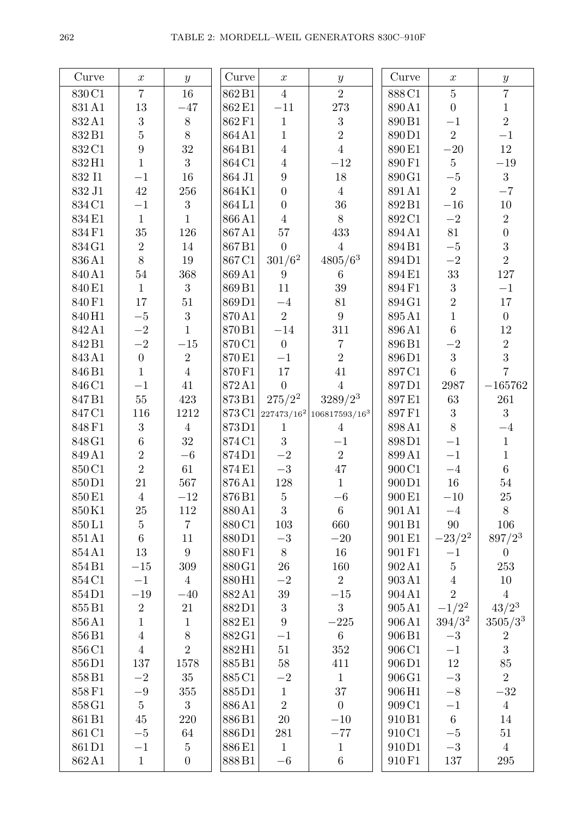| Curve  | $\boldsymbol{x}$ | $\boldsymbol{y}$ | $\ensuremath{\mathrm{Curve}}$ | $\boldsymbol{x}$ | $\boldsymbol{y}$                                 | $\ensuremath{\mathrm{Curve}}$ | $\boldsymbol{x}$ | $\boldsymbol{y}$ |
|--------|------------------|------------------|-------------------------------|------------------|--------------------------------------------------|-------------------------------|------------------|------------------|
| 830C1  | $\overline{7}$   | 16               | 862B1                         | $\overline{4}$   | $\overline{2}$                                   | 888C1                         | $\overline{5}$   | $\overline{7}$   |
| 831A1  | $13\,$           | $-47$            | 862E1                         | $-11\,$          | $273\,$                                          | 890A1                         | $\boldsymbol{0}$ | $\,1\,$          |
| 832A1  | $\boldsymbol{3}$ | $8\,$            | 862F1                         | $\mathbf{1}$     | $\sqrt{3}$                                       | 890B1                         | $-1$             | $\overline{2}$   |
| 832B1  | $\overline{5}$   | $8\,$            | 864A1                         | $\,1$            | $\overline{2}$                                   | 890D1                         | $\overline{2}$   | $-1$             |
| 832C1  | $\boldsymbol{9}$ | $32\,$           | 864B1                         | $\bf 4$          | $\overline{4}$                                   | 890E1                         | $-20\,$          | 12               |
| 832H1  | $\overline{1}$   | 3                | 864C1                         | $\sqrt{4}$       | $-12\,$                                          | 890F1                         | $\overline{5}$   | $-19\,$          |
| 832 I1 | $-1$             | $16\,$           | 864 J1                        | $\boldsymbol{9}$ | $18\,$                                           | 890G1                         | $-5\,$           | $\overline{3}$   |
| 832 J1 | $42\,$           | $256\,$          | 864K1                         | $\boldsymbol{0}$ | $\overline{4}$                                   | 891A1                         | $\overline{2}$   | $-7$             |
| 834C1  | $-1$             | $\boldsymbol{3}$ | 864L1                         | $\boldsymbol{0}$ | $36\,$                                           | 892B1                         | $-16\,$          | $10\,$           |
| 834E1  | $\mathbf{1}$     | $\mathbf{1}$     | 866A1                         | $\overline{4}$   | $8\,$                                            | 892C1                         | $-{\bf 2}$       | $\overline{2}$   |
| 834F1  | 35               | 126              | 867A1                         | 57               | 433                                              | 894A1                         | 81               | $\overline{0}$   |
| 834G1  | $\overline{2}$   | $14\,$           | 867B1                         | $\overline{0}$   | $\overline{4}$                                   | 894B1                         | $-5$             | $\overline{3}$   |
| 836A1  | 8                | 19               | 867C1                         | $301/6^2$        | $4805/6^3$                                       | 894D1                         | $-2\,$           | $\overline{2}$   |
| 840A1  | $54\,$           | 368              | 869A1                         | $\boldsymbol{9}$ | $6\phantom{.}6$                                  | 894E1                         | $33\,$           | $127\,$          |
| 840E1  | $\mathbf{1}$     | $\mathbf{3}$     | 869B1                         | 11               | 39                                               | 894F1                         | $\sqrt{3}$       | $-1$             |
| 840F1  | 17               | $51\,$           | 869D1                         | $-4\,$           | 81                                               | 894G1                         | $\overline{2}$   | $17\,$           |
| 840H1  | $-5$             | $\overline{3}$   | 870A1                         | $\overline{2}$   | $9\phantom{.0}$                                  | 895A1                         | $\mathbf{1}$     | $\overline{0}$   |
| 842A1  | $-{\bf 2}$       | $\mathbf{1}$     | 870B1                         | $-14\,$          | 311                                              | 896A1                         | $\sqrt{6}$       | $12\,$           |
| 842B1  | $-2$             | $-15$            | 870C1                         | $\overline{0}$   | $\overline{7}$                                   | 896B1                         | $-2$             | $\overline{2}$   |
| 843A1  | $\boldsymbol{0}$ | $\sqrt{2}$       | 870E1                         | $-1$             | $\overline{2}$                                   | 896D1                         | $\overline{3}$   | $\overline{3}$   |
| 846B1  | $\mathbf{1}$     | $\overline{4}$   | 870F1                         | $17\,$           | 41                                               | 897C1                         | $\overline{6}$   | $\overline{7}$   |
| 846C1  | $-1$             | $41\,$           | 872A1                         | $\overline{0}$   | $\overline{4}$                                   | 897D1                         | $2987\,$         | $-165762$        |
| 847B1  | $55\,$           | 423              | 873B1                         | $275/2^2$        | $3289/2^3$                                       | 897E1                         | $63\,$           | $261\,$          |
| 847C1  | 116              | 1212             | 873C1                         |                  | 227473/16 <sup>2</sup> 106817593/16 <sup>3</sup> | 897F1                         | $\sqrt{3}$       | 3                |
| 848F1  | $\sqrt{3}$       | $\overline{4}$   | 873D1                         | $\mathbf{1}$     | $\overline{4}$                                   | 898A1                         | 8                | $-4$             |
| 848G1  | $\,6\,$          | $32\,$           | 874C1                         | 3                | $-1$                                             | 898D1                         | $-1$             | $\mathbf{1}$     |
| 849A1  | $\overline{2}$   | $-6$             | 874D1                         | $-2\,$           | $\overline{2}$                                   | 899A1                         | $-1$             | $\mathbf{1}$     |
| 850C1  | $\overline{2}$   | $61\,$           | 874E1                         | $-3\,$           | $47\,$                                           | 900 C1                        | $-4$             | $\,6\,$          |
| 850D1  | 21               | 567              | 876A1                         | $128\,$          | $\,1$                                            | $900\,\mathrm{D}1$            | 16               | $54\,$           |
| 850E1  | $\overline{4}$   | $-12$            | 876B1                         | $5\,$            | $-6\,$                                           | 900E1                         | $-10\,$          | 25               |
| 850K1  | 25               | 112              | 880A1                         | $\boldsymbol{3}$ | $6\phantom{.}6$                                  | 901A1                         | $-4$             | 8                |
| 850L1  | $\bf 5$          | $\overline{7}$   | 880C1                         | $103\,$          | 660                                              | 901B1                         | $90\,$           | 106              |
| 851A1  | $\,6\,$          | 11               | 880D1                         | $-3\,$           | $-20\,$                                          | 901 E1                        | $-23/2^2$        | $897/2^3$        |
| 854A1  | 13               | $9\,$            | 880F1                         | $8\,$            | 16                                               | 901 F1                        | $-1$             | $\theta$         |
| 854B1  | $-15\,$          | $309\,$          | 880G1                         | $26\,$           | 160                                              | 902A1                         | $\bf 5$          | $253\,$          |
| 854 C1 | $-1$             | $\overline{4}$   | 880H1                         | $-2\,$           | $\overline{2}$                                   | 903A1                         | $\frac{4}{2}$    | 10               |
| 854D1  | $-19\,$          | $-40$            | 882A1                         | $39\,$           | $-15$                                            | 904A1                         |                  | $\overline{4}$   |
| 855B1  | $\sqrt{2}$       | 21               | 882D1                         | $\sqrt{3}$       | $\boldsymbol{3}$                                 | 905A1                         | $-1/2^2$         | $43/2^3$         |
| 856A1  | $\overline{1}$   | $\mathbf{1}$     | 882E1                         | $\overline{9}$   | $-225\,$                                         | 906A1                         | $394/3^2$        | $3505/3^3$       |
| 856B1  | $\overline{4}$   | $8\,$            | 882G1                         | $-1$             | $\,6\,$                                          | 906B1                         | $-3$             | $\sqrt{2}$       |
| 856 C1 | $\overline{4}$   | $\overline{2}$   | 882H1                         | $51\,$           | 352                                              | 906 C1                        | $-1$             | 3                |
| 856D1  | $137\,$          | $1578\,$         | 885B1                         | $58\,$           | 411                                              | 906D1                         | $12\,$           | $85\,$           |
| 858B1  | $-2\,$           | $35\,$           | 885 C1                        | $-2\,$           | $\mathbf{1}$                                     | 906G1                         | $-3\,$           | $\overline{2}$   |
| 858F1  | $-9\,$           | 355              | 885D1                         | $\,1$            | 37                                               | 906H1                         | $-8$             | $-32\,$          |
| 858G1  | $\bf 5$          | $\mathbf{3}$     | 886A1                         | $\overline{2}$   | $\boldsymbol{0}$                                 | 909 C <sub>1</sub>            | $-1$             | $\overline{4}$   |
| 861B1  | $45\,$           | 220              | 886B1                         | $20\,$           | $-10$                                            | 910B1                         | $\,6\,$          | 14               |
| 861 C1 | $-5\,$           | 64               | 886D1                         | $281\,$          | $-77\,$                                          | 910C1                         | $-5\,$           | $51\,$           |
| 861D1  | $-1$             | $\bf 5$          | 886E1                         | $\mathbf{1}$     | $1\,$                                            | 910D1                         | $-3\,$           | $\overline{4}$   |
| 862A1  | $\mathbf{1}$     | $\boldsymbol{0}$ | 888B1                         | $-6\,$           | $6\,$                                            | 910F1                         | 137              | 295              |